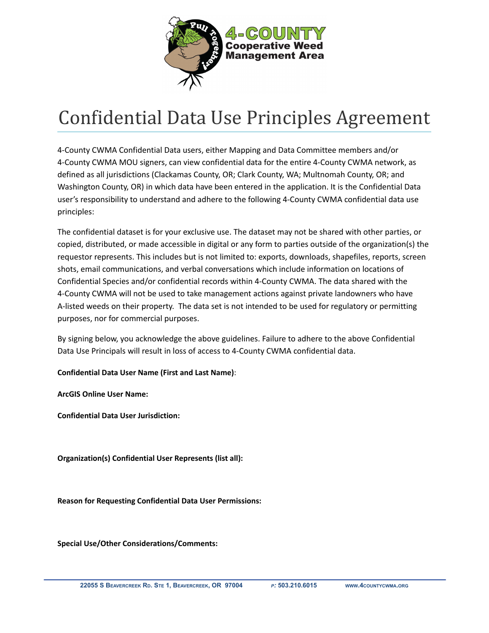

## Confidential Data Use Principles Agreement

4-County CWMA Confidential Data users, either Mapping and Data Committee members and/or 4-County CWMA MOU signers, can view confidential data for the entire 4-County CWMA network, as defined as all jurisdictions (Clackamas County, OR; Clark County, WA; Multnomah County, OR; and Washington County, OR) in which data have been entered in the application. It is the Confidential Data user's responsibility to understand and adhere to the following 4-County CWMA confidential data use principles:

The confidential dataset is for your exclusive use. The dataset may not be shared with other parties, or copied, distributed, or made accessible in digital or any form to parties outside of the organization(s) the requestor represents. This includes but is not limited to: exports, downloads, shapefiles, reports, screen shots, email communications, and verbal conversations which include information on locations of Confidential Species and/or confidential records within 4-County CWMA. The data shared with the 4-County CWMA will not be used to take management actions against private landowners who have A-listed weeds on their property. The data set is not intended to be used for regulatory or permitting purposes, nor for commercial purposes.

By signing below, you acknowledge the above guidelines. Failure to adhere to the above Confidential Data Use Principals will result in loss of access to 4-County CWMA confidential data.

**Confidential Data User Name (First and Last Name)**:

**ArcGIS Online User Name:**

**Confidential Data User Jurisdiction:**

**Organization(s) Confidential User Represents (list all):**

**Reason for Requesting Confidential Data User Permissions:**

**Special Use/Other Considerations/Comments:**